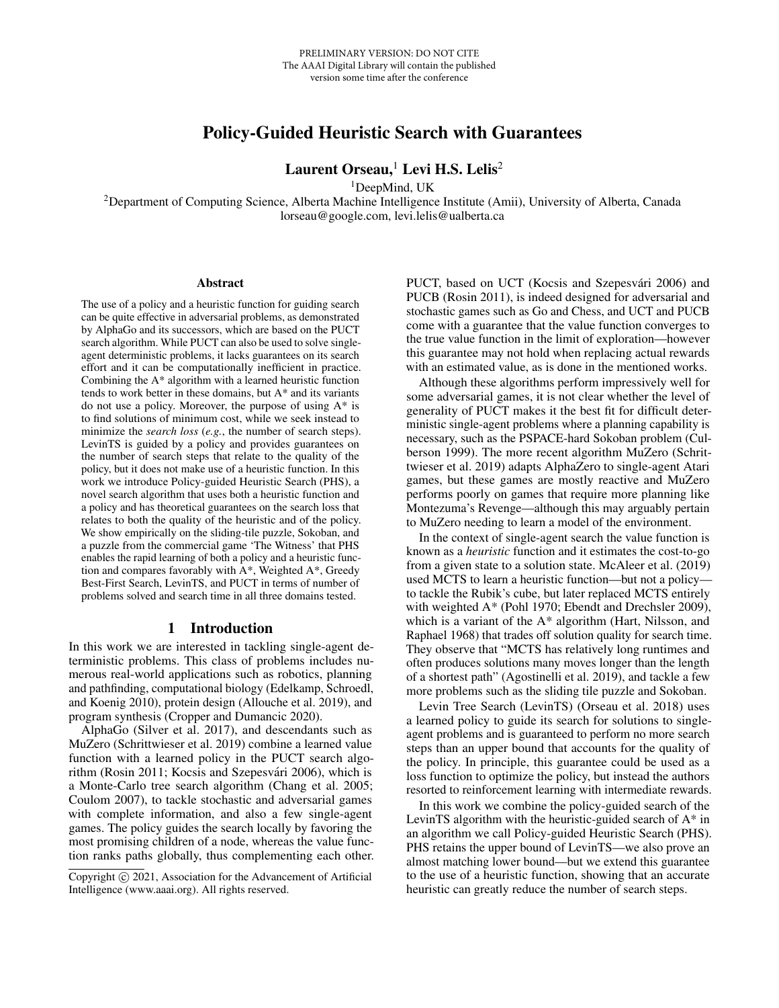# Policy-Guided Heuristic Search with Guarantees

Laurent Orseau, $<sup>1</sup>$  Levi H.S. Lelis<sup>2</sup></sup>

<sup>1</sup>DeepMind, UK

<sup>2</sup>Department of Computing Science, Alberta Machine Intelligence Institute (Amii), University of Alberta, Canada lorseau@google.com, levi.lelis@ualberta.ca

#### Abstract

The use of a policy and a heuristic function for guiding search can be quite effective in adversarial problems, as demonstrated by AlphaGo and its successors, which are based on the PUCT search algorithm. While PUCT can also be used to solve singleagent deterministic problems, it lacks guarantees on its search effort and it can be computationally inefficient in practice. Combining the A\* algorithm with a learned heuristic function tends to work better in these domains, but A\* and its variants do not use a policy. Moreover, the purpose of using A\* is to find solutions of minimum cost, while we seek instead to minimize the *search loss* (*e.g.*, the number of search steps). LevinTS is guided by a policy and provides guarantees on the number of search steps that relate to the quality of the policy, but it does not make use of a heuristic function. In this work we introduce Policy-guided Heuristic Search (PHS), a novel search algorithm that uses both a heuristic function and a policy and has theoretical guarantees on the search loss that relates to both the quality of the heuristic and of the policy. We show empirically on the sliding-tile puzzle, Sokoban, and a puzzle from the commercial game 'The Witness' that PHS enables the rapid learning of both a policy and a heuristic function and compares favorably with A\*, Weighted A\*, Greedy Best-First Search, LevinTS, and PUCT in terms of number of problems solved and search time in all three domains tested.

# 1 Introduction

In this work we are interested in tackling single-agent deterministic problems. This class of problems includes numerous real-world applications such as robotics, planning and pathfinding, computational biology (Edelkamp, Schroedl, and Koenig 2010), protein design (Allouche et al. 2019), and program synthesis (Cropper and Dumancic 2020).

AlphaGo (Silver et al. 2017), and descendants such as MuZero (Schrittwieser et al. 2019) combine a learned value function with a learned policy in the PUCT search algorithm (Rosin 2011; Kocsis and Szepesvári 2006), which is a Monte-Carlo tree search algorithm (Chang et al. 2005; Coulom 2007), to tackle stochastic and adversarial games with complete information, and also a few single-agent games. The policy guides the search locally by favoring the most promising children of a node, whereas the value function ranks paths globally, thus complementing each other. PUCT, based on UCT (Kocsis and Szepesvári 2006) and PUCB (Rosin 2011), is indeed designed for adversarial and stochastic games such as Go and Chess, and UCT and PUCB come with a guarantee that the value function converges to the true value function in the limit of exploration—however this guarantee may not hold when replacing actual rewards with an estimated value, as is done in the mentioned works.

Although these algorithms perform impressively well for some adversarial games, it is not clear whether the level of generality of PUCT makes it the best fit for difficult deterministic single-agent problems where a planning capability is necessary, such as the PSPACE-hard Sokoban problem (Culberson 1999). The more recent algorithm MuZero (Schrittwieser et al. 2019) adapts AlphaZero to single-agent Atari games, but these games are mostly reactive and MuZero performs poorly on games that require more planning like Montezuma's Revenge—although this may arguably pertain to MuZero needing to learn a model of the environment.

In the context of single-agent search the value function is known as a *heuristic* function and it estimates the cost-to-go from a given state to a solution state. McAleer et al. (2019) used MCTS to learn a heuristic function—but not a policy to tackle the Rubik's cube, but later replaced MCTS entirely with weighted A\* (Pohl 1970; Ebendt and Drechsler 2009), which is a variant of the A\* algorithm (Hart, Nilsson, and Raphael 1968) that trades off solution quality for search time. They observe that "MCTS has relatively long runtimes and often produces solutions many moves longer than the length of a shortest path" (Agostinelli et al. 2019), and tackle a few more problems such as the sliding tile puzzle and Sokoban.

Levin Tree Search (LevinTS) (Orseau et al. 2018) uses a learned policy to guide its search for solutions to singleagent problems and is guaranteed to perform no more search steps than an upper bound that accounts for the quality of the policy. In principle, this guarantee could be used as a loss function to optimize the policy, but instead the authors resorted to reinforcement learning with intermediate rewards.

In this work we combine the policy-guided search of the LevinTS algorithm with the heuristic-guided search of A\* in an algorithm we call Policy-guided Heuristic Search (PHS). PHS retains the upper bound of LevinTS—we also prove an almost matching lower bound—but we extend this guarantee to the use of a heuristic function, showing that an accurate heuristic can greatly reduce the number of search steps.

Copyright © 2021, Association for the Advancement of Artificial Intelligence (www.aaai.org). All rights reserved.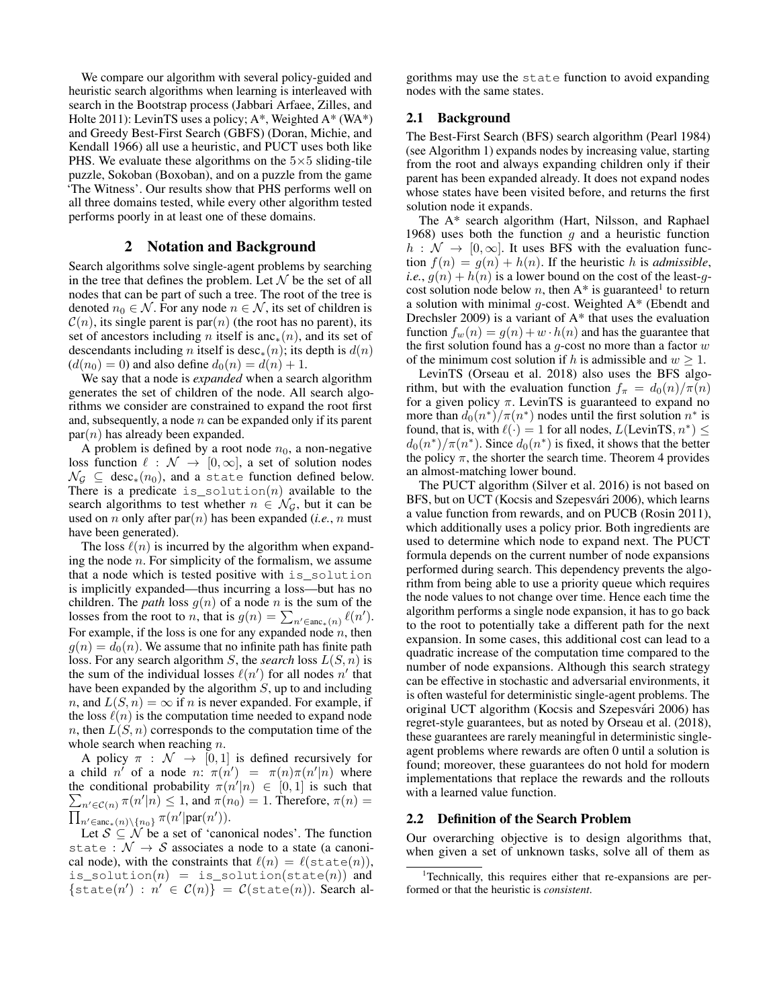We compare our algorithm with several policy-guided and heuristic search algorithms when learning is interleaved with search in the Bootstrap process (Jabbari Arfaee, Zilles, and Holte 2011): LevinTS uses a policy; A\*, Weighted A\* (WA\*) and Greedy Best-First Search (GBFS) (Doran, Michie, and Kendall 1966) all use a heuristic, and PUCT uses both like PHS. We evaluate these algorithms on the  $5\times 5$  sliding-tile puzzle, Sokoban (Boxoban), and on a puzzle from the game 'The Witness'. Our results show that PHS performs well on all three domains tested, while every other algorithm tested performs poorly in at least one of these domains.

## 2 Notation and Background

Search algorithms solve single-agent problems by searching in the tree that defines the problem. Let  $N$  be the set of all nodes that can be part of such a tree. The root of the tree is denoted  $n_0 \in \mathcal{N}$ . For any node  $n \in \mathcal{N}$ , its set of children is  $\mathcal{C}(n)$ , its single parent is par $(n)$  (the root has no parent), its set of ancestors including *n* itself is anc<sub>∗</sub> $(n)$ , and its set of descendants including n itself is desc<sub>\*</sub>(n); its depth is  $d(n)$  $(d(n_0) = 0)$  and also define  $d_0(n) = d(n) + 1$ .

We say that a node is *expanded* when a search algorithm generates the set of children of the node. All search algorithms we consider are constrained to expand the root first and, subsequently, a node  $n$  can be expanded only if its parent  $par(n)$  has already been expanded.

A problem is defined by a root node  $n_0$ , a non-negative loss function  $\ell : \mathcal{N} \to [0, \infty]$ , a set of solution nodes  $\mathcal{N}_{\mathcal{G}} \subseteq \text{desc}_*(n_0)$ , and a state function defined below. There is a predicate is solution(n) available to the search algorithms to test whether  $n \in \mathcal{N}_G$ , but it can be used on *n* only after  $par(n)$  has been expanded (*i.e.*, *n* must have been generated).

The loss  $\ell(n)$  is incurred by the algorithm when expanding the node  $n$ . For simplicity of the formalism, we assume that a node which is tested positive with is\_solution is implicitly expanded—thus incurring a loss—but has no children. The *path* loss  $g(n)$  of a node n is the sum of the losses from the root to *n*, that is  $g(n) = \sum_{n' \in \text{anc}_*(n)} \ell(n')$ . For example, if the loss is one for any expanded node  $n$ , then  $g(n) = d_0(n)$ . We assume that no infinite path has finite path loss. For any search algorithm S, the *search* loss L(S, n) is the sum of the individual losses  $\ell(n')$  for all nodes n' that have been expanded by the algorithm S, up to and including n, and  $L(S, n) = \infty$  if n is never expanded. For example, if the loss  $\ell(n)$  is the computation time needed to expand node n, then  $L(S, n)$  corresponds to the computation time of the whole search when reaching *n*.

A policy  $\pi$  :  $\mathcal{N} \rightarrow [0, 1]$  is defined recursively for a child n' of a node n:  $\pi(n') = \pi(n)\pi(n'|n)$  where the conditional probability  $\pi(n'|n) \in [0,1]$  is such that  $\sum_{n' \in \mathcal{C}(n)} \pi(n'|n) \leq 1$ , and  $\pi(n_0) = 1$ . Therefore,  $\pi(n) =$  $\prod_{n' \in \text{anc}_*(n) \setminus \{n_0\}} \pi(n' | \text{par}(n')).$ 

Let  $S \subseteq N$  be a set of 'canonical nodes'. The function state :  $\mathcal{N} \rightarrow \mathcal{S}$  associates a node to a state (a canonical node), with the constraints that  $\ell(n) = \ell(\text{state}(n)),$ is\_solution $(n)$  = is\_solution(state $(n)$ ) and  $\{state(n') : n' \in C(n)\} = \mathcal{C}(state(n)).$  Search al-

gorithms may use the state function to avoid expanding nodes with the same states.

# 2.1 Background

The Best-First Search (BFS) search algorithm (Pearl 1984) (see Algorithm 1) expands nodes by increasing value, starting from the root and always expanding children only if their parent has been expanded already. It does not expand nodes whose states have been visited before, and returns the first solution node it expands.

The A\* search algorithm (Hart, Nilsson, and Raphael 1968) uses both the function q and a heuristic function  $h : \mathcal{N} \to [0, \infty]$ . It uses BFS with the evaluation function  $f(n) = g(n) + h(n)$ . If the heuristic h is *admissible*, *i.e.*,  $g(n) + h(n)$  is a lower bound on the cost of the least-qcost solution node below n, then  $A^*$  is guaranteed<sup>1</sup> to return a solution with minimal  $g$ -cost. Weighted  $A^*$  (Ebendt and Drechsler 2009) is a variant of  $A^*$  that uses the evaluation function  $f_w(n) = q(n) + w \cdot h(n)$  and has the guarantee that the first solution found has a  $q$ -cost no more than a factor  $w$ of the minimum cost solution if h is admissible and  $w > 1$ .

LevinTS (Orseau et al. 2018) also uses the BFS algorithm, but with the evaluation function  $f_{\pi} = d_0(n)/\pi(n)$ for a given policy  $\pi$ . LevinTS is guaranteed to expand no more than  $d_0(n^*)/\pi(n^*)$  nodes until the first solution  $n^*$  is found, that is, with  $\ell(\cdot) = 1$  for all nodes,  $L(\text{LevinTS}, n^*) \leq$  $d_0(n^*)/\pi(n^*)$ . Since  $d_0(n^*)$  is fixed, it shows that the better the policy  $\pi$ , the shorter the search time. Theorem 4 provides an almost-matching lower bound.

The PUCT algorithm (Silver et al. 2016) is not based on BFS, but on UCT (Kocsis and Szepesvári 2006), which learns a value function from rewards, and on PUCB (Rosin 2011), which additionally uses a policy prior. Both ingredients are used to determine which node to expand next. The PUCT formula depends on the current number of node expansions performed during search. This dependency prevents the algorithm from being able to use a priority queue which requires the node values to not change over time. Hence each time the algorithm performs a single node expansion, it has to go back to the root to potentially take a different path for the next expansion. In some cases, this additional cost can lead to a quadratic increase of the computation time compared to the number of node expansions. Although this search strategy can be effective in stochastic and adversarial environments, it is often wasteful for deterministic single-agent problems. The original UCT algorithm (Kocsis and Szepesvari 2006) has ´ regret-style guarantees, but as noted by Orseau et al. (2018), these guarantees are rarely meaningful in deterministic singleagent problems where rewards are often 0 until a solution is found; moreover, these guarantees do not hold for modern implementations that replace the rewards and the rollouts with a learned value function.

#### 2.2 Definition of the Search Problem

Our overarching objective is to design algorithms that, when given a set of unknown tasks, solve all of them as

<sup>&</sup>lt;sup>1</sup>Technically, this requires either that re-expansions are performed or that the heuristic is *consistent*.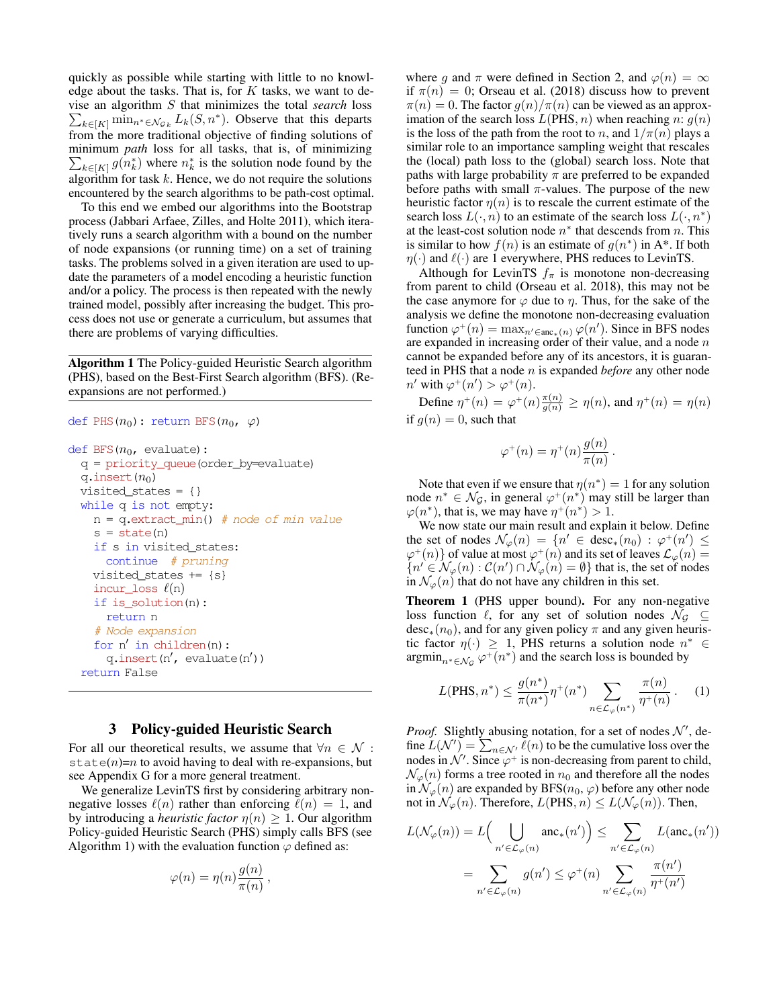quickly as possible while starting with little to no knowledge about the tasks. That is, for  $K$  tasks, we want to devise an algorithm S that minimizes the total *search* loss  $\sum_{k \in [K]} \min_{n^* \in \mathcal{N}_{\mathcal{G}_k}} L_k(S, n^*)$ . Observe that this departs from the more traditional objective of finding solutions of minimum *path* loss for all tasks, that is, of minimizing  $\sum_{k \in [K]} g(n_k^*)$  where  $n_k^*$  is the solution node found by the algorithm for task  $k$ . Hence, we do not require the solutions encountered by the search algorithms to be path-cost optimal.

To this end we embed our algorithms into the Bootstrap process (Jabbari Arfaee, Zilles, and Holte 2011), which iteratively runs a search algorithm with a bound on the number of node expansions (or running time) on a set of training tasks. The problems solved in a given iteration are used to update the parameters of a model encoding a heuristic function and/or a policy. The process is then repeated with the newly trained model, possibly after increasing the budget. This process does not use or generate a curriculum, but assumes that there are problems of varying difficulties.

Algorithm 1 The Policy-guided Heuristic Search algorithm (PHS), based on the Best-First Search algorithm (BFS). (Reexpansions are not performed.)

```
def PHS(n_0): return BFS(n_0, \varphi)
```

```
def BFS(n_0, \text{ evaluate}):
q = priority_queue(order_by=evaluate)
q.insert(n_0)visited_states = \{\}while q is not empty:
  n = q.\text{extract\_min()} # node of min value
  s = state(n)if s in visited_states:
    continue # pruning
  visited_states += \{s\}incur_loss \ell(n)if is_solution(n):
    return n
  # Node expansion
  for n' in children(n):
    q.insert(n', \text{ evaluate}(n'))return False
```
## 3 Policy-guided Heuristic Search

For all our theoretical results, we assume that  $\forall n \in \mathcal{N}$ : state(n)=n to avoid having to deal with re-expansions, but see Appendix G for a more general treatment.

We generalize LevinTS first by considering arbitrary nonnegative losses  $\ell(n)$  rather than enforcing  $\ell(n) = 1$ , and by introducing a *heuristic factor*  $\eta(n) \geq 1$ . Our algorithm Policy-guided Heuristic Search (PHS) simply calls BFS (see Algorithm 1) with the evaluation function  $\varphi$  defined as:

$$
\varphi(n) = \eta(n) \frac{g(n)}{\pi(n)},
$$

where g and  $\pi$  were defined in Section 2, and  $\varphi(n) = \infty$ if  $\pi(n) = 0$ ; Orseau et al. (2018) discuss how to prevent  $\pi(n) = 0$ . The factor  $g(n)/\pi(n)$  can be viewed as an approximation of the search loss  $L(PHS, n)$  when reaching n:  $g(n)$ is the loss of the path from the root to n, and  $1/\pi(n)$  plays a similar role to an importance sampling weight that rescales the (local) path loss to the (global) search loss. Note that paths with large probability  $\pi$  are preferred to be expanded before paths with small  $\pi$ -values. The purpose of the new heuristic factor  $\eta(n)$  is to rescale the current estimate of the search loss  $L(\cdot, n)$  to an estimate of the search loss  $L(\cdot, n^*)$ at the least-cost solution node  $n^*$  that descends from n. This is similar to how  $f(n)$  is an estimate of  $g(n^*)$  in A\*. If both  $\eta(\cdot)$  and  $\ell(\cdot)$  are 1 everywhere, PHS reduces to LevinTS.

Although for LevinTS  $f_{\pi}$  is monotone non-decreasing from parent to child (Orseau et al. 2018), this may not be the case anymore for  $\varphi$  due to  $\eta$ . Thus, for the sake of the analysis we define the monotone non-decreasing evaluation function  $\varphi^+(n) = \max_{n' \in \text{anc}_*(n)} \varphi(n')$ . Since in BFS nodes are expanded in increasing order of their value, and a node  $n$ cannot be expanded before any of its ancestors, it is guaranteed in PHS that a node n is expanded *before* any other node  $n'$  with  $\varphi^+(n') > \varphi^+(n)$ .

Define  $\eta^+(n) = \varphi^+(n) \frac{\pi(n)}{g(n)} \ge \eta(n)$ , and  $\eta^+(n) = \eta(n)$ if  $g(n) = 0$ , such that

$$
\varphi^+(n) = \eta^+(n) \frac{g(n)}{\pi(n)}.
$$

Note that even if we ensure that  $\eta(n^*) = 1$  for any solution node  $n^* \in \mathcal{N}_{\mathcal{G}}$ , in general  $\varphi^+(n^*)$  may still be larger than  $\varphi(n^*)$ , that is, we may have  $\eta^+(n^*) > 1$ .

We now state our main result and explain it below. Define the set of nodes  $\mathcal{N}_{\varphi}(n) = \{n' \in \text{desc}_*(n_0) : \varphi^+(n') \leq$  $\varphi^+(n)$ } of value at most  $\varphi^+(n)$  and its set of leaves  $\mathcal{L}_{\varphi}(n) =$  ${n \in \mathcal{N}_{\varphi}(n) : C(n') \cap \mathcal{N}_{\varphi}(n) = \emptyset}$  that is, the set of nodes in  $\mathcal{N}_{\varphi}(n)$  that do not have any children in this set.

Theorem 1 (PHS upper bound). For any non-negative loss function  $\ell$ , for any set of solution nodes  $\mathcal{N}_{\mathcal{G}} \subseteq$  $desc_*(n_0)$ , and for any given policy  $\pi$  and any given heuristic factor  $\eta(\cdot) \geq 1$ , PHS returns a solution node  $n^* \in$  $\operatorname{argmin}_{n^* \in \mathcal{N}_{\mathcal{G}}} \varphi^+(n^*)$  and the search loss is bounded by

$$
L(\text{PHS}, n^*) \le \frac{g(n^*)}{\pi(n^*)} \eta^+(n^*) \sum_{n \in \mathcal{L}_{\varphi}(n^*)} \frac{\pi(n)}{\eta^+(n)}.
$$
 (1)

*Proof.* Slightly abusing notation, for a set of nodes  $\mathcal{N}'$ , define  $\overline{L}(\mathcal{N}') = \sum_{n \in \mathcal{N}'} \overline{\ell}(n)$  to be the cumulative loss over the nodes in  $\mathcal{N}'$ . Since  $\varphi^+$  is non-decreasing from parent to child,  $\mathcal{N}_{\varphi}(n)$  forms a tree rooted in  $n_0$  and therefore all the nodes in  $\mathcal{N}_{\varphi}(n)$  are expanded by BFS( $n_0, \varphi$ ) before any other node not in  $\mathcal{N}_{\varphi}(n)$ . Therefore,  $L(PHS, n) \leq L(\mathcal{N}_{\varphi}(n))$ . Then,

$$
L(\mathcal{N}_{\varphi}(n)) = L\Big(\bigcup_{n' \in \mathcal{L}_{\varphi}(n)} \text{anc}_{*}(n')\Big) \leq \sum_{n' \in \mathcal{L}_{\varphi}(n)} L(\text{anc}_{*}(n'))
$$

$$
= \sum_{n' \in \mathcal{L}_{\varphi}(n)} g(n') \leq \varphi^{+}(n) \sum_{n' \in \mathcal{L}_{\varphi}(n)} \frac{\pi(n')}{\eta^{+}(n')}
$$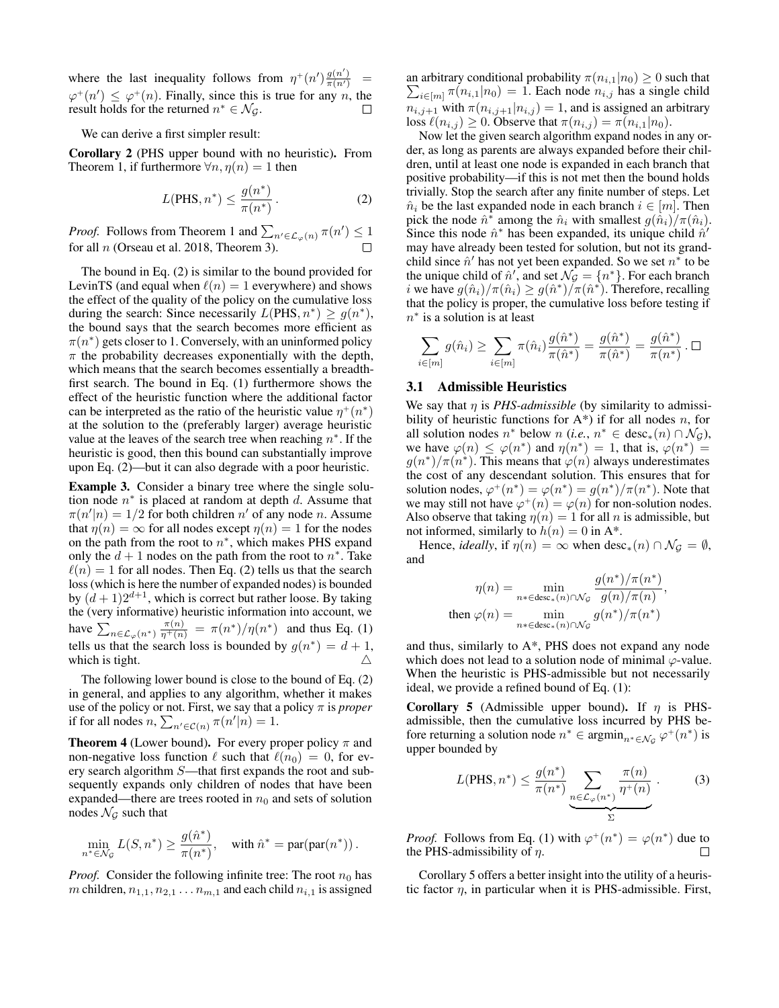where the last inequality follows from  $\eta^+(n') \frac{g(n')}{\pi(n')}$  =  $\varphi^+(n') \leq \varphi^+(n)$ . Finally, since this is true for any n, the result holds for the returned  $n^* \in \mathcal{N}_{\mathcal{G}}$ .  $\Box$ 

We can derive a first simpler result:

Corollary 2 (PHS upper bound with no heuristic). From Theorem 1, if furthermore  $\forall n, \eta(n) = 1$  then

$$
L(\text{PHS}, n^*) \le \frac{g(n^*)}{\pi(n^*)} \,. \tag{2}
$$

*Proof.* Follows from Theorem 1 and  $\sum_{n' \in \mathcal{L}_{\varphi}(n)} \pi(n') \leq 1$ for all  $n$  (Orseau et al. 2018, Theorem 3). П

The bound in Eq. (2) is similar to the bound provided for LevinTS (and equal when  $\ell(n) = 1$  everywhere) and shows the effect of the quality of the policy on the cumulative loss during the search: Since necessarily  $L(PHS, n^*) \ge g(n^*),$ the bound says that the search becomes more efficient as  $\pi(n^*)$  gets closer to 1. Conversely, with an uninformed policy  $\pi$  the probability decreases exponentially with the depth, which means that the search becomes essentially a breadthfirst search. The bound in Eq. (1) furthermore shows the effect of the heuristic function where the additional factor can be interpreted as the ratio of the heuristic value  $\eta^+(n^*)$ at the solution to the (preferably larger) average heuristic value at the leaves of the search tree when reaching  $n^*$ . If the heuristic is good, then this bound can substantially improve upon Eq. (2)—but it can also degrade with a poor heuristic.

Example 3. Consider a binary tree where the single solution node  $n^*$  is placed at random at depth d. Assume that  $\pi(n'|n) = 1/2$  for both children n' of any node n. Assume that  $\eta(n) = \infty$  for all nodes except  $\eta(n) = 1$  for the nodes on the path from the root to  $n^*$ , which makes PHS expand only the  $d + 1$  nodes on the path from the root to  $n^*$ . Take  $\ell(n) = 1$  for all nodes. Then Eq. (2) tells us that the search loss (which is here the number of expanded nodes) is bounded by  $(d+1)2^{d+1}$ , which is correct but rather loose. By taking the (very informative) heuristic information into account, we have  $\sum_{n \in \mathcal{L}_{\varphi}(n^*)} \frac{\pi(n)}{\eta^+(n)} = \pi(n^*)/\eta(n^*)$  and thus Eq. (1) tells us that the search loss is bounded by  $g(n^*) = d + 1$ , which is tight.

The following lower bound is close to the bound of Eq. (2) in general, and applies to any algorithm, whether it makes use of the policy or not. First, we say that a policy  $\pi$  is *proper* if for all nodes  $n, \sum_{n' \in \mathcal{C}(n)} \pi(n'|n) = 1$ .

**Theorem 4** (Lower bound). For every proper policy  $\pi$  and non-negative loss function  $\ell$  such that  $\ell(n_0) = 0$ , for every search algorithm S—that first expands the root and subsequently expands only children of nodes that have been expanded—there are trees rooted in  $n_0$  and sets of solution nodes  $\mathcal{N}_{\mathcal{G}}$  such that

$$
\min_{n^* \in \mathcal{N}_{\mathcal{G}}} L(S, n^*) \ge \frac{g(\hat{n}^*)}{\pi(n^*)}, \quad \text{with } \hat{n}^* = \text{par}(\text{par}(n^*))\,.
$$

*Proof.* Consider the following infinite tree: The root  $n_0$  has m children,  $n_{1,1}, n_{2,1} \ldots n_{m,1}$  and each child  $n_{i,1}$  is assigned

an arbitrary conditional probability  $\pi(n_{i,1}|n_0) \geq 0$  such that an arbitrary conditional probability  $\pi(n_{i,1}|n_0) \ge 0$  such that  $\sum_{i \in [m]} \pi(n_{i,1}|n_0) = 1$ . Each node  $n_{i,j}$  has a single child  $n_{i,j+1}$  with  $\pi(n_{i,j+1}|n_{i,j}) = 1$ , and is assigned an arbitrary loss  $\ell(n_{i,j}) \geq 0$ . Observe that  $\pi(n_{i,j}) = \pi(n_{i,1}|n_0)$ .

Now let the given search algorithm expand nodes in any order, as long as parents are always expanded before their children, until at least one node is expanded in each branch that positive probability—if this is not met then the bound holds trivially. Stop the search after any finite number of steps. Let  $\hat{n}_i$  be the last expanded node in each branch  $i \in [m]$ . Then pick the node  $\hat{n}^*$  among the  $\hat{n}_i$  with smallest  $g(\hat{n}_i)/\pi(\hat{n}_i)$ . Since this node  $\hat{n}^*$  has been expanded, its unique child  $\hat{n}'$ may have already been tested for solution, but not its grandchild since  $\hat{n}'$  has not yet been expanded. So we set  $n^*$  to be the unique child of  $\hat{n}'$ , and set  $\mathcal{N}_{\mathcal{G}} = \{n^*\}$ . For each branch *i* we have  $g(\hat{n}_i)/\pi(\hat{n}_i) \geq g(\hat{n}^*)/\pi(\hat{n}^*)$ . Therefore, recalling that the policy is proper, the cumulative loss before testing if  $n^*$  is a solution is at least

$$
\sum_{i \in [m]} g(\hat{n}_i) \ge \sum_{i \in [m]} \pi(\hat{n}_i) \frac{g(\hat{n}^*)}{\pi(\hat{n}^*)} = \frac{g(\hat{n}^*)}{\pi(\hat{n}^*)} = \frac{g(\hat{n}^*)}{\pi(n^*)} \cdot \Box
$$

## 3.1 Admissible Heuristics

We say that  $\eta$  is *PHS-admissible* (by similarity to admissibility of heuristic functions for  $A^*$ ) if for all nodes n, for all solution nodes  $n^*$  below  $n$  (*i.e.*,  $n^* \in \text{desc}_*(n) \cap \mathcal{N}_{\mathcal{G}}$ ), we have  $\varphi(n) \leq \varphi(n^*)$  and  $\eta(n^*) = 1$ , that is,  $\varphi(n^*) = 1$  $g(n^*)/\pi(n^*)$ . This means that  $\varphi(n)$  always underestimates the cost of any descendant solution. This ensures that for solution nodes,  $\varphi^+(n^*) = \varphi(n^*) = g(n^*)/\pi(n^*)$ . Note that we may still not have  $\varphi^+(n) = \varphi(n)$  for non-solution nodes. Also observe that taking  $\eta(n) = 1$  for all n is admissible, but not informed, similarly to  $h(n) = 0$  in A<sup>\*</sup>.

Hence, *ideally*, if  $\eta(n) = \infty$  when  $\text{desc}_*(n) \cap \mathcal{N}_G = \emptyset$ , and

$$
\eta(n) = \min_{n*\in \text{desc}_*(n)\cap \mathcal{N}_{\mathcal{G}}} \frac{g(n^*)/\pi(n^*)}{g(n)/\pi(n)},
$$
  
then 
$$
\varphi(n) = \min_{n*\in \text{desc}_*(n)\cap \mathcal{N}_{\mathcal{G}}} g(n^*)/\pi(n^*)
$$

and thus, similarly to A\*, PHS does not expand any node which does not lead to a solution node of minimal  $\varphi$ -value. When the heuristic is PHS-admissible but not necessarily ideal, we provide a refined bound of Eq. (1):

Corollary 5 (Admissible upper bound). If  $\eta$  is PHSadmissible, then the cumulative loss incurred by PHS before returning a solution node  $n^* \in \text{argmin}_{n^* \in \mathcal{N}_{\mathcal{G}}} \varphi^+(n^*)$  is upper bounded by

$$
L(PHS, n^*) \le \frac{g(n^*)}{\pi(n^*)} \underbrace{\sum_{n \in \mathcal{L}_{\varphi}(n^*)} \frac{\pi(n)}{\eta^+(n)}}_{\Sigma}.
$$
 (3)

*Proof.* Follows from Eq. (1) with  $\varphi^+(n^*) = \varphi(n^*)$  due to the PHS-admissibility of  $\eta$ . П

Corollary 5 offers a better insight into the utility of a heuristic factor  $\eta$ , in particular when it is PHS-admissible. First,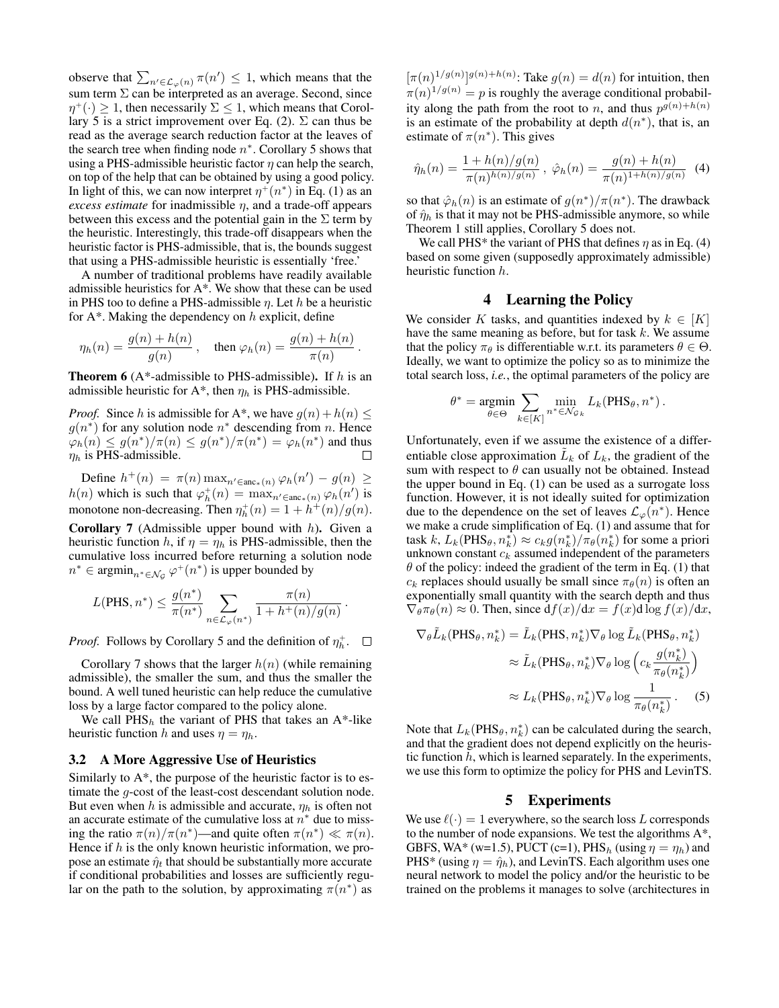observe that  $\sum_{n' \in \mathcal{L}_{\varphi}(n)} \pi(n') \leq 1$ , which means that the sum term  $\Sigma$  can be interpreted as an average. Second, since  $\eta^+(\cdot) \geq 1$ , then necessarily  $\Sigma \leq 1$ , which means that Corollary 5 is a strict improvement over Eq. (2).  $\Sigma$  can thus be read as the average search reduction factor at the leaves of the search tree when finding node  $n^*$ . Corollary 5 shows that using a PHS-admissible heuristic factor  $\eta$  can help the search, on top of the help that can be obtained by using a good policy. In light of this, we can now interpret  $\eta^+(n^*)$  in Eq. (1) as an *excess estimate* for inadmissible  $\eta$ , and a trade-off appears between this excess and the potential gain in the  $\Sigma$  term by the heuristic. Interestingly, this trade-off disappears when the heuristic factor is PHS-admissible, that is, the bounds suggest that using a PHS-admissible heuristic is essentially 'free.'

A number of traditional problems have readily available admissible heuristics for A\*. We show that these can be used in PHS too to define a PHS-admissible  $\eta$ . Let  $h$  be a heuristic for  $A^*$ . Making the dependency on  $h$  explicit, define

$$
\eta_h(n) = \frac{g(n) + h(n)}{g(n)}, \quad \text{then } \varphi_h(n) = \frac{g(n) + h(n)}{\pi(n)}.
$$

**Theorem 6** (A\*-admissible to PHS-admissible). If  $h$  is an admissible heuristic for  $A^*$ , then  $\eta_h$  is PHS-admissible.

*Proof.* Since h is admissible for A\*, we have  $g(n) + h(n) \leq$  $g(n^*)$  for any solution node  $n^*$  descending from n. Hence  $\varphi_h(n) \leq g(n^*)/\pi(n) \leq g(n^*)/\pi(n^*) = \varphi_h(n^*)$  and thus  $\eta_h$  is PHS-admissible. Ш

Define  $h^+(n) = \pi(n) \max_{n' \in \text{anc}_*(n)} \varphi_h(n') - g(n) \geq$  $h(n)$  which is such that  $\varphi_h^+(n) = \max_{n' \in \text{anc}_*(n)} \varphi_h(n')$  is monotone non-decreasing. Then  $\eta_h^+(n) = 1 + h^+(n)/g(n)$ .

**Corollary 7** (Admissible upper bound with  $h$ ). Given a heuristic function h, if  $\eta = \eta_h$  is PHS-admissible, then the cumulative loss incurred before returning a solution node  $n^* \in \operatorname{argmin}_{n^* \in \mathcal{N}_{\mathcal{G}}} \varphi^+(n^*)$  is upper bounded by

$$
L(\mathrm{PHS}, n^*) \leq \frac{g(n^*)}{\pi(n^*)} \sum_{n \in \mathcal{L}_\varphi(n^*)} \frac{\pi(n)}{1 + h^+(n)/g(n)}
$$

.

*Proof.* Follows by Corollary 5 and the definition of  $\eta_h^+$ .

Corollary 7 shows that the larger  $h(n)$  (while remaining admissible), the smaller the sum, and thus the smaller the bound. A well tuned heuristic can help reduce the cumulative loss by a large factor compared to the policy alone.

We call  $PHS_h$  the variant of PHS that takes an A\*-like heuristic function h and uses  $\eta = \eta_h$ .

## 3.2 A More Aggressive Use of Heuristics

Similarly to  $A^*$ , the purpose of the heuristic factor is to estimate the g-cost of the least-cost descendant solution node. But even when h is admissible and accurate,  $\eta_h$  is often not an accurate estimate of the cumulative loss at  $n^*$  due to missing the ratio  $\pi(n)/\pi(n^*)$ —and quite often  $\pi(n^*) \ll \pi(n)$ . Hence if  $h$  is the only known heuristic information, we propose an estimate  $\hat{\eta}_t$  that should be substantially more accurate if conditional probabilities and losses are sufficiently regular on the path to the solution, by approximating  $\pi(n^*)$  as

 $[\pi(n)^{1/g(n)}]^{g(n)+h(n)}$ : Take  $g(n) = d(n)$  for intuition, then  $\pi(n)^{1/g(n)} = p$  is roughly the average conditional probability along the path from the root to *n*, and thus  $p^{g(n)+h(n)}$ is an estimate of the probability at depth  $d(n^*)$ , that is, an estimate of  $\pi(n^*)$ . This gives

$$
\hat{\eta}_h(n) = \frac{1 + h(n)/g(n)}{\pi(n)^{h(n)/g(n)}}, \ \hat{\varphi}_h(n) = \frac{g(n) + h(n)}{\pi(n)^{1 + h(n)/g(n)}} \tag{4}
$$

so that  $\hat{\varphi}_h(n)$  is an estimate of  $g(n^*)/\pi(n^*)$ . The drawback of  $\hat{\eta}_h$  is that it may not be PHS-admissible anymore, so while Theorem 1 still applies, Corollary 5 does not.

We call PHS<sup>\*</sup> the variant of PHS that defines  $\eta$  as in Eq. (4) based on some given (supposedly approximately admissible) heuristic function h.

## 4 Learning the Policy

We consider K tasks, and quantities indexed by  $k \in [K]$ have the same meaning as before, but for task  $k$ . We assume that the policy  $\pi_{\theta}$  is differentiable w.r.t. its parameters  $\theta \in \Theta$ . Ideally, we want to optimize the policy so as to minimize the total search loss, *i.e.*, the optimal parameters of the policy are

$$
\theta^* = \underset{\theta \in \Theta}{\text{argmin}} \sum_{k \in [K]} \min_{n^* \in \mathcal{N}_{\mathcal{G}_k}} L_k(\text{PHS}_{\theta}, n^*) \,.
$$

Unfortunately, even if we assume the existence of a differentiable close approximation  $\tilde{L}_k$  of  $L_k$ , the gradient of the sum with respect to  $\theta$  can usually not be obtained. Instead the upper bound in Eq. (1) can be used as a surrogate loss function. However, it is not ideally suited for optimization due to the dependence on the set of leaves  $\mathcal{L}_{\varphi}(n^*)$ . Hence we make a crude simplification of Eq. (1) and assume that for task k,  $L_k(\text{PHS}_{\theta}, n_k^*) \approx c_k g(n_k^*) / \pi_{\theta}(n_k^*)$  for some a priori unknown constant  $c_k$  assumed independent of the parameters  $\theta$  of the policy: indeed the gradient of the term in Eq. (1) that  $c_k$  replaces should usually be small since  $\pi_\theta(n)$  is often an exponentially small quantity with the search depth and thus  $\nabla_{\theta} \pi_{\theta}(n) \approx 0$ . Then, since  $df(x)/dx = f(x) d \log f(x)/dx$ ,

$$
\nabla_{\theta} \tilde{L}_{k}(\text{PHS}_{\theta}, n_{k}^{*}) = \tilde{L}_{k}(\text{PHS}, n_{k}^{*}) \nabla_{\theta} \log \tilde{L}_{k}(\text{PHS}_{\theta}, n_{k}^{*})
$$

$$
\approx \tilde{L}_{k}(\text{PHS}_{\theta}, n_{k}^{*}) \nabla_{\theta} \log \left( c_{k} \frac{g(n_{k}^{*})}{\pi_{\theta}(n_{k}^{*})} \right)
$$

$$
\approx L_{k}(\text{PHS}_{\theta}, n_{k}^{*}) \nabla_{\theta} \log \frac{1}{\pi_{\theta}(n_{k}^{*})}. \quad (5)
$$

Note that  $L_k(PHS_\theta, n_k^*)$  can be calculated during the search, and that the gradient does not depend explicitly on the heuristic function  $h$ , which is learned separately. In the experiments, we use this form to optimize the policy for PHS and LevinTS.

#### 5 Experiments

We use  $\ell(\cdot) = 1$  everywhere, so the search loss L corresponds to the number of node expansions. We test the algorithms A\*, GBFS, WA\* (w=1.5), PUCT (c=1), PHS<sub>h</sub> (using  $\eta = \eta_h$ ) and PHS\* (using  $\eta = \hat{\eta}_h$ ), and LevinTS. Each algorithm uses one neural network to model the policy and/or the heuristic to be trained on the problems it manages to solve (architectures in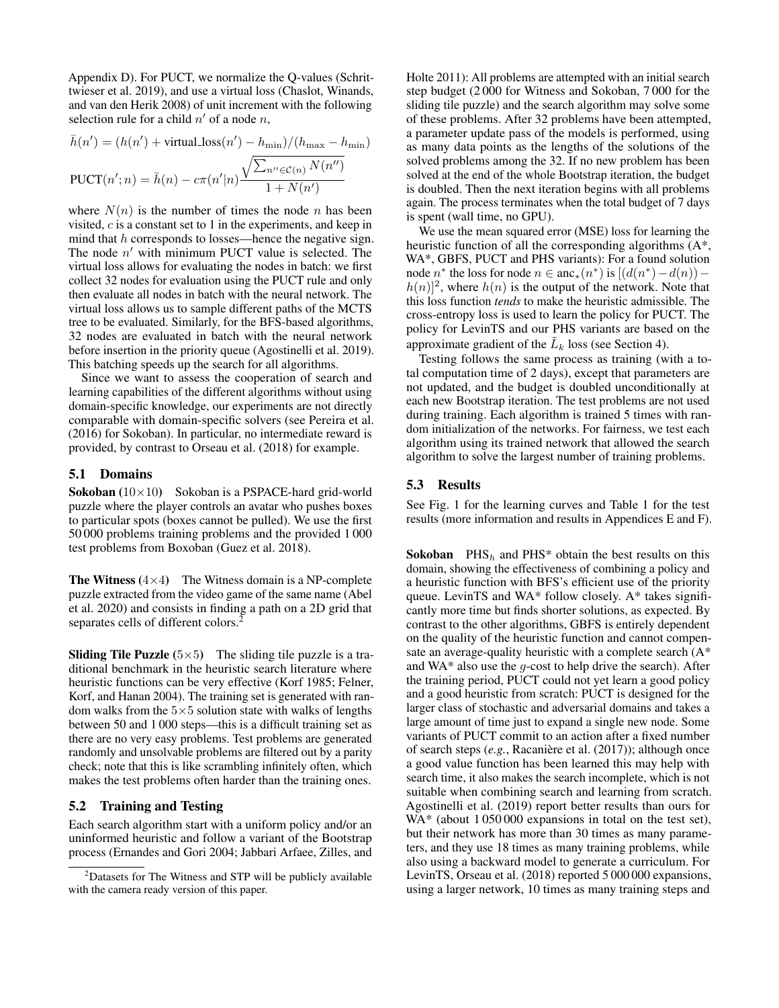Appendix D). For PUCT, we normalize the Q-values (Schrittwieser et al. 2019), and use a virtual loss (Chaslot, Winands, and van den Herik 2008) of unit increment with the following selection rule for a child  $n'$  of a node n,

$$
\bar{h}(n') = (h(n') + \text{virtual_loss}(n') - h_{\min})/(h_{\max} - h_{\min})
$$
  

$$
PUCT(n'; n) = \bar{h}(n) - c\pi(n'|n) \frac{\sqrt{\sum_{n'' \in \mathcal{C}(n)} N(n'')}}{1 + N(n')}
$$

where  $N(n)$  is the number of times the node n has been visited, c is a constant set to 1 in the experiments, and keep in mind that  $h$  corresponds to losses—hence the negative sign. The node  $n'$  with minimum PUCT value is selected. The virtual loss allows for evaluating the nodes in batch: we first collect 32 nodes for evaluation using the PUCT rule and only then evaluate all nodes in batch with the neural network. The virtual loss allows us to sample different paths of the MCTS tree to be evaluated. Similarly, for the BFS-based algorithms, 32 nodes are evaluated in batch with the neural network before insertion in the priority queue (Agostinelli et al. 2019). This batching speeds up the search for all algorithms.

Since we want to assess the cooperation of search and learning capabilities of the different algorithms without using domain-specific knowledge, our experiments are not directly comparable with domain-specific solvers (see Pereira et al. (2016) for Sokoban). In particular, no intermediate reward is provided, by contrast to Orseau et al. (2018) for example.

## 5.1 Domains

**Sokoban**  $(10 \times 10)$  Sokoban is a PSPACE-hard grid-world puzzle where the player controls an avatar who pushes boxes to particular spots (boxes cannot be pulled). We use the first 50 000 problems training problems and the provided 1 000 test problems from Boxoban (Guez et al. 2018).

**The Witness** ( $4 \times 4$ ) The Witness domain is a NP-complete puzzle extracted from the video game of the same name (Abel et al. 2020) and consists in finding a path on a 2D grid that separates cells of different colors.<sup>2</sup>

**Sliding Tile Puzzle**  $(5\times5)$  The sliding tile puzzle is a traditional benchmark in the heuristic search literature where heuristic functions can be very effective (Korf 1985; Felner, Korf, and Hanan 2004). The training set is generated with random walks from the  $5\times 5$  solution state with walks of lengths between 50 and 1 000 steps—this is a difficult training set as there are no very easy problems. Test problems are generated randomly and unsolvable problems are filtered out by a parity check; note that this is like scrambling infinitely often, which makes the test problems often harder than the training ones.

## 5.2 Training and Testing

Each search algorithm start with a uniform policy and/or an uninformed heuristic and follow a variant of the Bootstrap process (Ernandes and Gori 2004; Jabbari Arfaee, Zilles, and Holte 2011): All problems are attempted with an initial search step budget (2 000 for Witness and Sokoban, 7 000 for the sliding tile puzzle) and the search algorithm may solve some of these problems. After 32 problems have been attempted, a parameter update pass of the models is performed, using as many data points as the lengths of the solutions of the solved problems among the 32. If no new problem has been solved at the end of the whole Bootstrap iteration, the budget is doubled. Then the next iteration begins with all problems again. The process terminates when the total budget of 7 days is spent (wall time, no GPU).

We use the mean squared error (MSE) loss for learning the heuristic function of all the corresponding algorithms (A\*, WA\*, GBFS, PUCT and PHS variants): For a found solution node  $n^*$  the loss for node  $n \in \text{anc}_*(n^*)$  is  $[(d(n^*) - d(n))$  $h(n)$ <sup>2</sup>, where  $h(n)$  is the output of the network. Note that this loss function *tends* to make the heuristic admissible. The cross-entropy loss is used to learn the policy for PUCT. The policy for LevinTS and our PHS variants are based on the approximate gradient of the  $\tilde{L}_k$  loss (see Section 4).

Testing follows the same process as training (with a total computation time of 2 days), except that parameters are not updated, and the budget is doubled unconditionally at each new Bootstrap iteration. The test problems are not used during training. Each algorithm is trained 5 times with random initialization of the networks. For fairness, we test each algorithm using its trained network that allowed the search algorithm to solve the largest number of training problems.

## 5.3 Results

See Fig. 1 for the learning curves and Table 1 for the test results (more information and results in Appendices E and F).

**Sokoban** PHS<sub>h</sub> and PHS<sup>\*</sup> obtain the best results on this domain, showing the effectiveness of combining a policy and a heuristic function with BFS's efficient use of the priority queue. LevinTS and WA\* follow closely. A\* takes significantly more time but finds shorter solutions, as expected. By contrast to the other algorithms, GBFS is entirely dependent on the quality of the heuristic function and cannot compensate an average-quality heuristic with a complete search (A\* and  $WA^*$  also use the *g*-cost to help drive the search). After the training period, PUCT could not yet learn a good policy and a good heuristic from scratch: PUCT is designed for the larger class of stochastic and adversarial domains and takes a large amount of time just to expand a single new node. Some variants of PUCT commit to an action after a fixed number of search steps (e.g., Racanière et al. (2017)); although once a good value function has been learned this may help with search time, it also makes the search incomplete, which is not suitable when combining search and learning from scratch. Agostinelli et al. (2019) report better results than ours for WA\* (about 1 050 000 expansions in total on the test set), but their network has more than 30 times as many parameters, and they use 18 times as many training problems, while also using a backward model to generate a curriculum. For LevinTS, Orseau et al. (2018) reported 5 000 000 expansions, using a larger network, 10 times as many training steps and

<sup>&</sup>lt;sup>2</sup>Datasets for The Witness and STP will be publicly available with the camera ready version of this paper.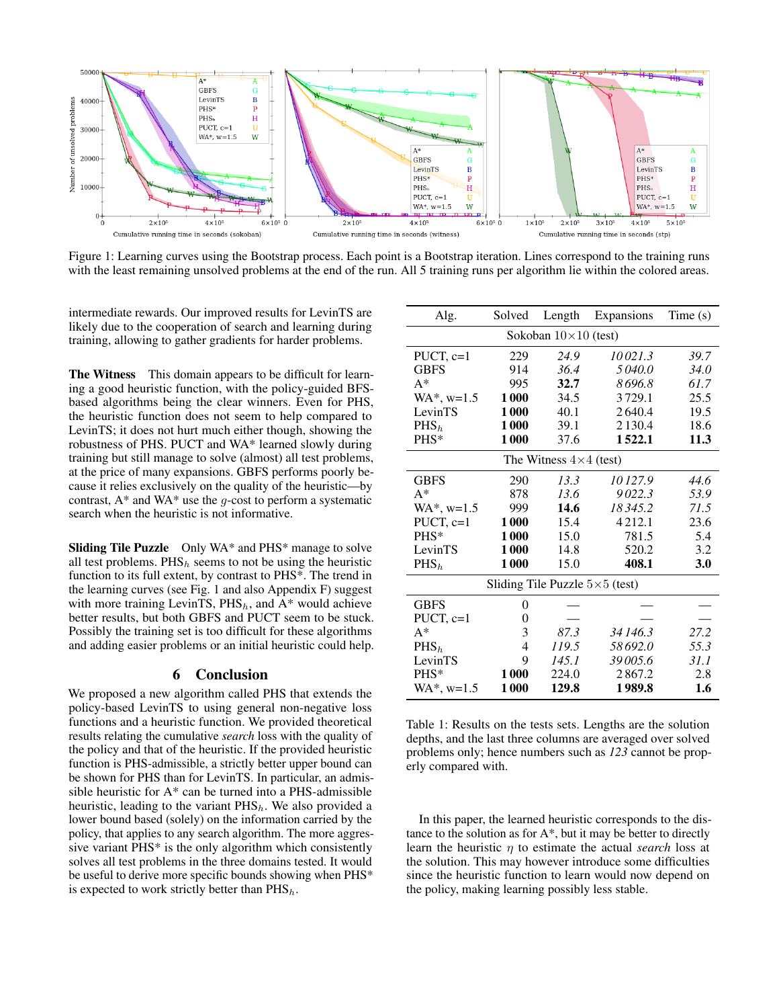

Figure 1: Learning curves using the Bootstrap process. Each point is a Bootstrap iteration. Lines correspond to the training runs with the least remaining unsolved problems at the end of the run. All 5 training runs per algorithm lie within the colored areas.

intermediate rewards. Our improved results for LevinTS are likely due to the cooperation of search and learning during training, allowing to gather gradients for harder problems.

The Witness This domain appears to be difficult for learning a good heuristic function, with the policy-guided BFSbased algorithms being the clear winners. Even for PHS, the heuristic function does not seem to help compared to LevinTS; it does not hurt much either though, showing the robustness of PHS. PUCT and WA\* learned slowly during training but still manage to solve (almost) all test problems, at the price of many expansions. GBFS performs poorly because it relies exclusively on the quality of the heuristic—by contrast,  $A^*$  and WA\* use the q-cost to perform a systematic search when the heuristic is not informative.

Sliding Tile Puzzle Only WA\* and PHS\* manage to solve all test problems.  $PHS_h$  seems to not be using the heuristic function to its full extent, by contrast to PHS\*. The trend in the learning curves (see Fig. 1 and also Appendix F) suggest with more training LevinTS,  $PHS_h$ , and  $A^*$  would achieve better results, but both GBFS and PUCT seem to be stuck. Possibly the training set is too difficult for these algorithms and adding easier problems or an initial heuristic could help.

#### 6 Conclusion

We proposed a new algorithm called PHS that extends the policy-based LevinTS to using general non-negative loss functions and a heuristic function. We provided theoretical results relating the cumulative *search* loss with the quality of the policy and that of the heuristic. If the provided heuristic function is PHS-admissible, a strictly better upper bound can be shown for PHS than for LevinTS. In particular, an admissible heuristic for A\* can be turned into a PHS-admissible heuristic, leading to the variant  $PHS_h$ . We also provided a lower bound based (solely) on the information carried by the policy, that applies to any search algorithm. The more aggressive variant PHS\* is the only algorithm which consistently solves all test problems in the three domains tested. It would be useful to derive more specific bounds showing when PHS\* is expected to work strictly better than  $PHS_h$ .

| Alg.                                  | Solved | Length | Expansions  | Time(s) |
|---------------------------------------|--------|--------|-------------|---------|
| Sokoban $10\times10$ (test)           |        |        |             |         |
| PUCT, $c=1$                           | 229    | 24.9   | 10021.3     | 39.7    |
| <b>GBFS</b>                           | 914    | 36.4   | 5040.0      | 34.0    |
| $A^*$                                 | 995    | 32.7   | 8696.8      | 61.7    |
| $WA^*$ , $w=1.5$                      | 1000   | 34.5   | 3729.1      | 25.5    |
| LevinTS                               | 1000   | 40.1   | 2640.4      | 19.5    |
| PHS <sub>h</sub>                      | 1000   | 39.1   | 2 1 3 0 . 4 | 18.6    |
| PHS*                                  | 1000   | 37.6   | 1522.1      | 11.3    |
| The Witness $4\times4$ (test)         |        |        |             |         |
| <b>GBFS</b>                           | 290    | 13.3   | 10127.9     | 44.6    |
| $A^*$                                 | 878    | 13.6   | 9022.3      | 53.9    |
| $WA^*$ , $w=1.5$                      | 999    | 14.6   | 18345.2     | 71.5    |
| PUCT, $c=1$                           | 1000   | 15.4   | 4212.1      | 23.6    |
| PHS*                                  | 1000   | 15.0   | 781.5       | 5.4     |
| LevinTS                               | 1000   | 14.8   | 520.2       | 3.2     |
| PHS <sub>h</sub>                      | 1000   | 15.0   | 408.1       | 3.0     |
| Sliding Tile Puzzle $5\times5$ (test) |        |        |             |         |
| <b>GBFS</b>                           | 0      |        |             |         |
| PUCT, $c=1$                           | 0      |        |             |         |
| $A^*$                                 | 3      | 87.3   | 34 146.3    | 27.2    |
| PHS <sub>h</sub>                      | 4      | 119.5  | 58692.0     | 55.3    |
| LevinTS                               | 9      | 145.1  | 39005.6     | 31.1    |
| PHS*                                  | 1000   | 224.0  | 2867.2      | 2.8     |
| $WA^*$ , $w=1.5$                      | 1000   | 129.8  | 1989.8      | 1.6     |

Table 1: Results on the tests sets. Lengths are the solution depths, and the last three columns are averaged over solved problems only; hence numbers such as *123* cannot be properly compared with.

In this paper, the learned heuristic corresponds to the distance to the solution as for  $A^*$ , but it may be better to directly learn the heuristic η to estimate the actual *search* loss at the solution. This may however introduce some difficulties since the heuristic function to learn would now depend on the policy, making learning possibly less stable.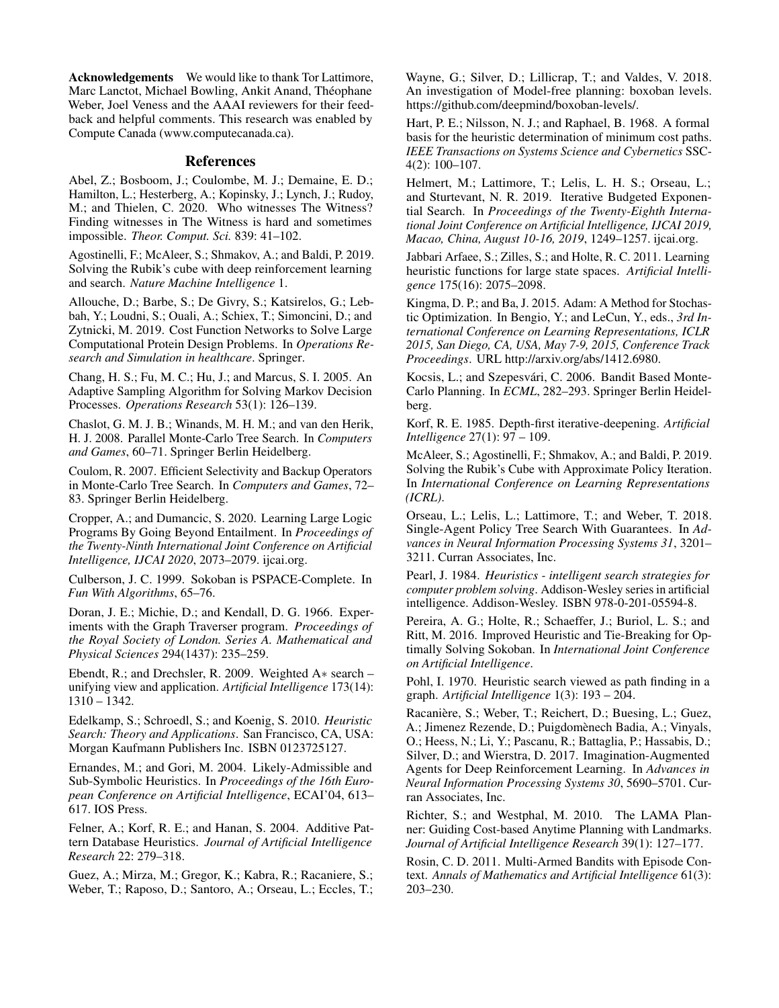Acknowledgements We would like to thank Tor Lattimore, Marc Lanctot, Michael Bowling, Ankit Anand, Théophane Weber, Joel Veness and the AAAI reviewers for their feedback and helpful comments. This research was enabled by Compute Canada (www.computecanada.ca).

## References

Abel, Z.; Bosboom, J.; Coulombe, M. J.; Demaine, E. D.; Hamilton, L.; Hesterberg, A.; Kopinsky, J.; Lynch, J.; Rudoy, M.; and Thielen, C. 2020. Who witnesses The Witness? Finding witnesses in The Witness is hard and sometimes impossible. *Theor. Comput. Sci.* 839: 41–102.

Agostinelli, F.; McAleer, S.; Shmakov, A.; and Baldi, P. 2019. Solving the Rubik's cube with deep reinforcement learning and search. *Nature Machine Intelligence* 1.

Allouche, D.; Barbe, S.; De Givry, S.; Katsirelos, G.; Lebbah, Y.; Loudni, S.; Ouali, A.; Schiex, T.; Simoncini, D.; and Zytnicki, M. 2019. Cost Function Networks to Solve Large Computational Protein Design Problems. In *Operations Research and Simulation in healthcare*. Springer.

Chang, H. S.; Fu, M. C.; Hu, J.; and Marcus, S. I. 2005. An Adaptive Sampling Algorithm for Solving Markov Decision Processes. *Operations Research* 53(1): 126–139.

Chaslot, G. M. J. B.; Winands, M. H. M.; and van den Herik, H. J. 2008. Parallel Monte-Carlo Tree Search. In *Computers and Games*, 60–71. Springer Berlin Heidelberg.

Coulom, R. 2007. Efficient Selectivity and Backup Operators in Monte-Carlo Tree Search. In *Computers and Games*, 72– 83. Springer Berlin Heidelberg.

Cropper, A.; and Dumancic, S. 2020. Learning Large Logic Programs By Going Beyond Entailment. In *Proceedings of the Twenty-Ninth International Joint Conference on Artificial Intelligence, IJCAI 2020*, 2073–2079. ijcai.org.

Culberson, J. C. 1999. Sokoban is PSPACE-Complete. In *Fun With Algorithms*, 65–76.

Doran, J. E.; Michie, D.; and Kendall, D. G. 1966. Experiments with the Graph Traverser program. *Proceedings of the Royal Society of London. Series A. Mathematical and Physical Sciences* 294(1437): 235–259.

Ebendt, R.; and Drechsler, R. 2009. Weighted A∗ search – unifying view and application. *Artificial Intelligence* 173(14): 1310 – 1342.

Edelkamp, S.; Schroedl, S.; and Koenig, S. 2010. *Heuristic Search: Theory and Applications*. San Francisco, CA, USA: Morgan Kaufmann Publishers Inc. ISBN 0123725127.

Ernandes, M.; and Gori, M. 2004. Likely-Admissible and Sub-Symbolic Heuristics. In *Proceedings of the 16th European Conference on Artificial Intelligence*, ECAI'04, 613– 617. IOS Press.

Felner, A.; Korf, R. E.; and Hanan, S. 2004. Additive Pattern Database Heuristics. *Journal of Artificial Intelligence Research* 22: 279–318.

Guez, A.; Mirza, M.; Gregor, K.; Kabra, R.; Racaniere, S.; Weber, T.; Raposo, D.; Santoro, A.; Orseau, L.; Eccles, T.; Wayne, G.; Silver, D.; Lillicrap, T.; and Valdes, V. 2018. An investigation of Model-free planning: boxoban levels. https://github.com/deepmind/boxoban-levels/.

Hart, P. E.; Nilsson, N. J.; and Raphael, B. 1968. A formal basis for the heuristic determination of minimum cost paths. *IEEE Transactions on Systems Science and Cybernetics* SSC-4(2): 100–107.

Helmert, M.; Lattimore, T.; Lelis, L. H. S.; Orseau, L.; and Sturtevant, N. R. 2019. Iterative Budgeted Exponential Search. In *Proceedings of the Twenty-Eighth International Joint Conference on Artificial Intelligence, IJCAI 2019, Macao, China, August 10-16, 2019*, 1249–1257. ijcai.org.

Jabbari Arfaee, S.; Zilles, S.; and Holte, R. C. 2011. Learning heuristic functions for large state spaces. *Artificial Intelligence* 175(16): 2075–2098.

Kingma, D. P.; and Ba, J. 2015. Adam: A Method for Stochastic Optimization. In Bengio, Y.; and LeCun, Y., eds., *3rd International Conference on Learning Representations, ICLR 2015, San Diego, CA, USA, May 7-9, 2015, Conference Track Proceedings*. URL http://arxiv.org/abs/1412.6980.

Kocsis, L.; and Szepesvári, C. 2006. Bandit Based Monte-Carlo Planning. In *ECML*, 282–293. Springer Berlin Heidelberg.

Korf, R. E. 1985. Depth-first iterative-deepening. *Artificial Intelligence* 27(1): 97 – 109.

McAleer, S.; Agostinelli, F.; Shmakov, A.; and Baldi, P. 2019. Solving the Rubik's Cube with Approximate Policy Iteration. In *International Conference on Learning Representations (ICRL)*.

Orseau, L.; Lelis, L.; Lattimore, T.; and Weber, T. 2018. Single-Agent Policy Tree Search With Guarantees. In *Advances in Neural Information Processing Systems 31*, 3201– 3211. Curran Associates, Inc.

Pearl, J. 1984. *Heuristics - intelligent search strategies for computer problem solving*. Addison-Wesley series in artificial intelligence. Addison-Wesley. ISBN 978-0-201-05594-8.

Pereira, A. G.; Holte, R.; Schaeffer, J.; Buriol, L. S.; and Ritt, M. 2016. Improved Heuristic and Tie-Breaking for Optimally Solving Sokoban. In *International Joint Conference on Artificial Intelligence*.

Pohl, I. 1970. Heuristic search viewed as path finding in a graph. *Artificial Intelligence* 1(3): 193 – 204.

Racanière, S.; Weber, T.; Reichert, D.; Buesing, L.; Guez, A.; Jimenez Rezende, D.; Puigdomènech Badia, A.; Vinyals, O.; Heess, N.; Li, Y.; Pascanu, R.; Battaglia, P.; Hassabis, D.; Silver, D.; and Wierstra, D. 2017. Imagination-Augmented Agents for Deep Reinforcement Learning. In *Advances in Neural Information Processing Systems 30*, 5690–5701. Curran Associates, Inc.

Richter, S.; and Westphal, M. 2010. The LAMA Planner: Guiding Cost-based Anytime Planning with Landmarks. *Journal of Artificial Intelligence Research* 39(1): 127–177.

Rosin, C. D. 2011. Multi-Armed Bandits with Episode Context. *Annals of Mathematics and Artificial Intelligence* 61(3): 203–230.